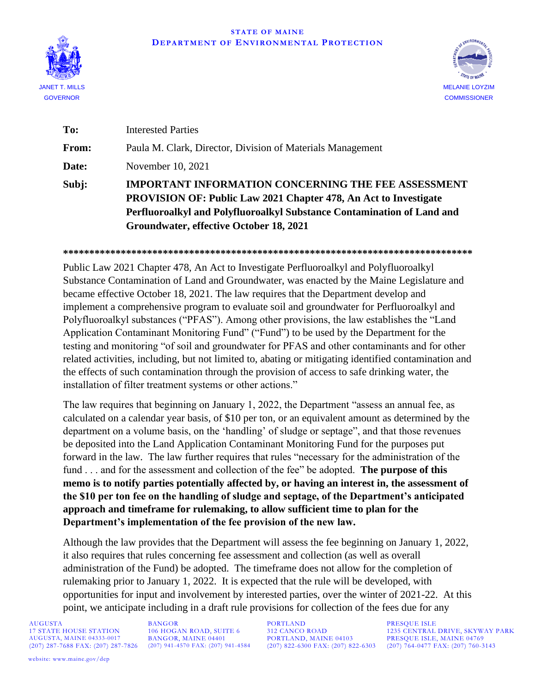## **STATE OF MAINE DEPARTMENT OF ENVIRONMENTAL PROTECTION**





| To:          | <b>Interested Parties</b>                                                                                                                                                                                                                                  |
|--------------|------------------------------------------------------------------------------------------------------------------------------------------------------------------------------------------------------------------------------------------------------------|
| <b>From:</b> | Paula M. Clark, Director, Division of Materials Management                                                                                                                                                                                                 |
| Date:        | November 10, 2021                                                                                                                                                                                                                                          |
| Subj:        | <b>IMPORTANT INFORMATION CONCERNING THE FEE ASSESSMENT</b><br><b>PROVISION OF: Public Law 2021 Chapter 478, An Act to Investigate</b><br>Perfluoroalkyl and Polyfluoroalkyl Substance Contamination of Land and<br>Groundwater, effective October 18, 2021 |

**\*\*\*\*\*\*\*\*\*\*\*\*\*\*\*\*\*\*\*\*\*\*\*\*\*\*\*\*\*\*\*\*\*\*\*\*\*\*\*\*\*\*\*\*\*\*\*\*\*\*\*\*\*\*\*\*\*\*\*\*\*\*\*\*\*\*\*\*\*\*\*\*\*\*\*\*\*\***

Public Law 2021 Chapter 478, An Act to Investigate Perfluoroalkyl and Polyfluoroalkyl Substance Contamination of Land and Groundwater, was enacted by the Maine Legislature and became effective October 18, 2021. The law requires that the Department develop and implement a comprehensive program to evaluate soil and groundwater for Perfluoroalkyl and Polyfluoroalkyl substances ("PFAS"). Among other provisions, the law establishes the "Land Application Contaminant Monitoring Fund" ("Fund") to be used by the Department for the testing and monitoring "of soil and groundwater for PFAS and other contaminants and for other related activities, including, but not limited to, abating or mitigating identified contamination and the effects of such contamination through the provision of access to safe drinking water, the installation of filter treatment systems or other actions."

The law requires that beginning on January 1, 2022, the Department "assess an annual fee, as calculated on a calendar year basis, of \$10 per ton, or an equivalent amount as determined by the department on a volume basis, on the 'handling' of sludge or septage", and that those revenues be deposited into the Land Application Contaminant Monitoring Fund for the purposes put forward in the law. The law further requires that rules "necessary for the administration of the fund . . . and for the assessment and collection of the fee" be adopted. **The purpose of this memo is to notify parties potentially affected by, or having an interest in, the assessment of the \$10 per ton fee on the handling of sludge and septage, of the Department's anticipated approach and timeframe for rulemaking, to allow sufficient time to plan for the Department's implementation of the fee provision of the new law.** 

Although the law provides that the Department will assess the fee beginning on January 1, 2022, it also requires that rules concerning fee assessment and collection (as well as overall administration of the Fund) be adopted. The timeframe does not allow for the completion of rulemaking prior to January 1, 2022. It is expected that the rule will be developed, with opportunities for input and involvement by interested parties, over the winter of 2021-22. At this point, we anticipate including in a draft rule provisions for collection of the fees due for any

AUGUSTA BANGOR BORTLAND PRESQUE ISLE<br>17 STATE HOUSE STATION 106 HOGAN ROAD, SUITE 6 312 CANCO ROAD 1235 CENTRAL (207) 287-7688 FAX: (207) 287-7826 (207) 941-4570 FAX: (207) 941-4584

17 STATE HOUSE STATION 106 HOGAN ROAD, SUITE 6 312 CANCO ROAD 1235 CENTRAL DRIVE, SKYWAY PARK<br>21 AUGUSTA, MAINE 04333-0017 BANGOR, MAINE 04401 PORTLAND, MAINE 04103 PRESQUE ISLE, MAINE 04769 PORTLAND, MAINE 04103<br>(207) 822-6300 FAX: (207) 822-6303 (207) 764-0477 FAX: (207) 760-3143